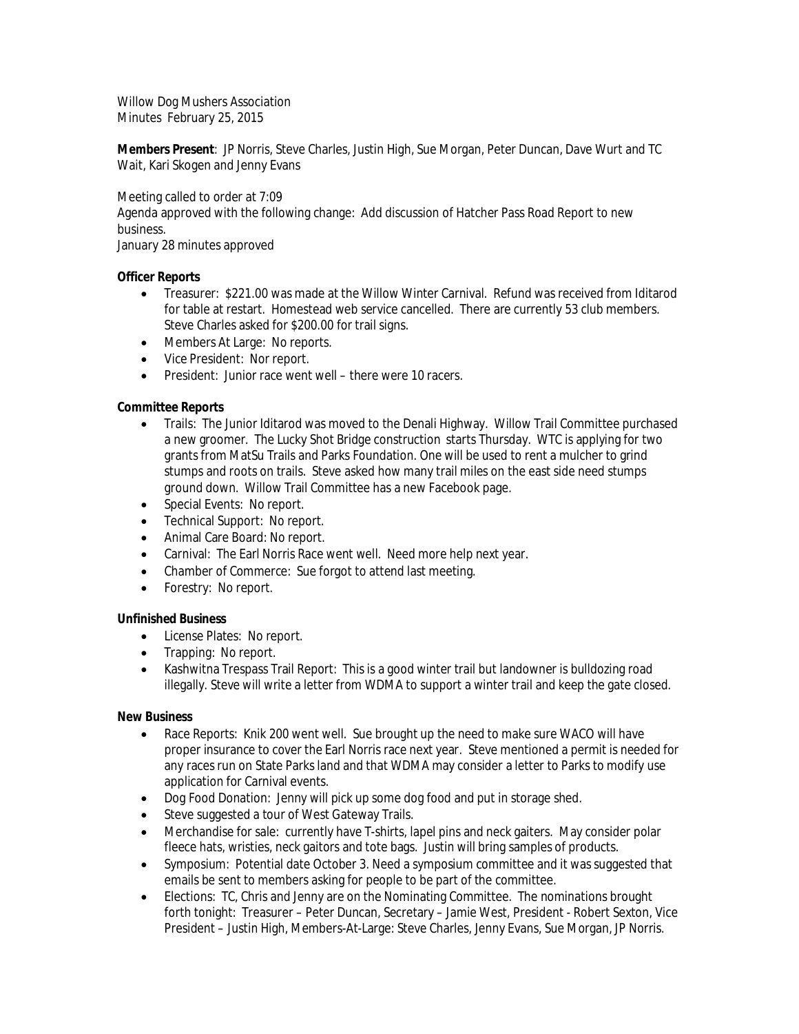Willow Dog Mushers Association Minutes February 25, 2015

**Members Present**: JP Norris, Steve Charles, Justin High, Sue Morgan, Peter Duncan, Dave Wurt and TC Wait, Kari Skogen and Jenny Evans

Meeting called to order at 7:09 Agenda approved with the following change: Add discussion of Hatcher Pass Road Report to new business. January 28 minutes approved

# **Officer Reports**

- Treasurer: \$221.00 was made at the Willow Winter Carnival. Refund was received from Iditarod for table at restart. Homestead web service cancelled. There are currently 53 club members. Steve Charles asked for \$200.00 for trail signs.
- Members At Large: No reports.
- Vice President: Nor report.
- President: Junior race went well there were 10 racers.

# **Committee Reports**

- Trails: The Junior Iditarod was moved to the Denali Highway. Willow Trail Committee purchased a new groomer. The Lucky Shot Bridge construction starts Thursday. WTC is applying for two grants from MatSu Trails and Parks Foundation. One will be used to rent a mulcher to grind stumps and roots on trails. Steve asked how many trail miles on the east side need stumps ground down. Willow Trail Committee has a new Facebook page.
- Special Events: No report.
- Technical Support: No report.
- Animal Care Board: No report.
- Carnival: The Earl Norris Race went well. Need more help next year.
- Chamber of Commerce: Sue forgot to attend last meeting.
- Forestry: No report.

# **Unfinished Business**

- License Plates: No report.
- Trapping: No report.
- Kashwitna Trespass Trail Report: This is a good winter trail but landowner is bulldozing road illegally. Steve will write a letter from WDMA to support a winter trail and keep the gate closed.

#### **New Business**

- Race Reports: Knik 200 went well. Sue brought up the need to make sure WACO will have proper insurance to cover the Earl Norris race next year. Steve mentioned a permit is needed for any races run on State Parks land and that WDMA may consider a letter to Parks to modify use application for Carnival events.
- Dog Food Donation: Jenny will pick up some dog food and put in storage shed.
- Steve suggested a tour of West Gateway Trails.
- Merchandise for sale: currently have T-shirts, lapel pins and neck gaiters. May consider polar fleece hats, wristies, neck gaitors and tote bags. Justin will bring samples of products.
- Symposium: Potential date October 3. Need a symposium committee and it was suggested that emails be sent to members asking for people to be part of the committee.
- Elections: TC, Chris and Jenny are on the Nominating Committee. The nominations brought forth tonight: Treasurer – Peter Duncan, Secretary – Jamie West, President - Robert Sexton, Vice President – Justin High, Members-At-Large: Steve Charles, Jenny Evans, Sue Morgan, JP Norris.